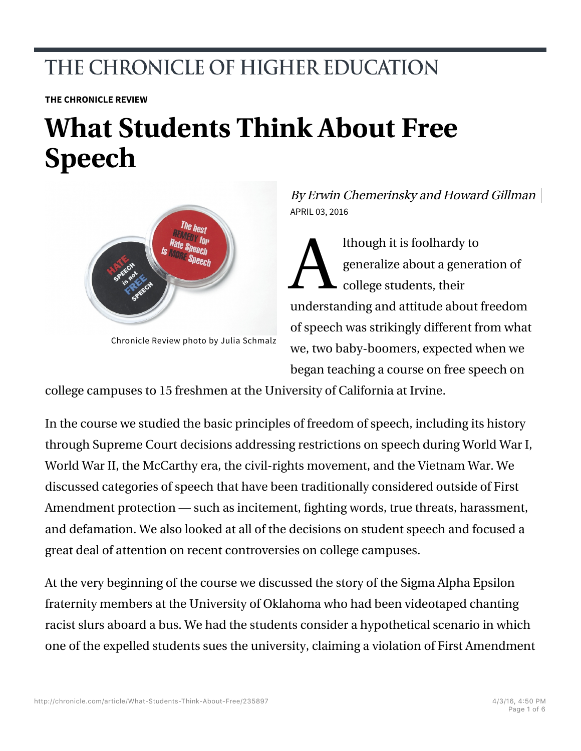## THE CHRONICLE OF HIGHER EDUCATION

**THE CHRONICLE REVIEW**

## **What Students Think About Free Speech**



Chronicle Review photo by Julia Schmalz

By Erwin Chemerinsky and Howard Gillman APRIL 03, 2016

A lthough it is foolhardy to generalize about a generation of college students, their understanding and attitude about freedom of speech was strikingly different from what we, two baby-boomers, expected when we began teaching a course on free speech on

college campuses to 15 freshmen at the University of California at Irvine.

In the course we studied the basic principles of freedom of speech, including its history through Supreme Court decisions addressing restrictions on speech during World War I, World War II, the McCarthy era, the civil-rights movement, and the Vietnam War. We discussed categories of speech that have been traditionally considered outside of First Amendment protection — such as incitement, fighting words, true threats, harassment, and defamation. We also looked at all of the decisions on student speech and focused a great deal of attention on recent controversies on college campuses.

At the very beginning of the course we discussed the story of the Sigma Alpha Epsilon fraternity members at the University of Oklahoma who had been videotaped chanting racist slurs aboard a bus. We had the students consider a hypothetical scenario in which one of the expelled students sues the university, claiming a violation of First Amendment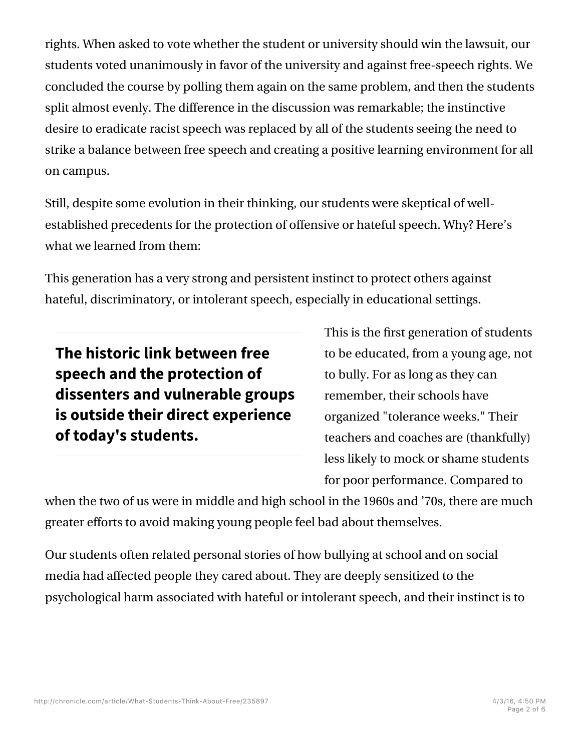rights. When asked to vote whether the student or university should win the lawsuit, our students voted unanimously in favor of the university and against free-speech rights. We concluded the course by polling them again on the same problem, and then the students split almost evenly. The difference in the discussion was remarkable; the instinctive desire to eradicate racist speech was replaced by all of the students seeing the need to strike a balance between free speech and creating a positive learning environment for all on campus.

Still, despite some evolution in their thinking, our students were skeptical of wellestablished precedents for the protection of offensive or hateful speech. Why? Here's what we learned from them:

This generation has a very strong and persistent instinct to protect others against hateful, discriminatory, or intolerant speech, especially in educational settings.

**The historic link between free speech and the protection of dissenters and vulnerable groups is outside their direct experience of today's students.**

This is the first generation of students to be educated, from a young age, not to bully. For as long as they can remember, their schools have organized "tolerance weeks." Their teachers and coaches are (thankfully) less likely to mock or shame students for poor performance. Compared to

when the two of us were in middle and high school in the 1960s and '70s, there are much greater efforts to avoid making young people feel bad about themselves.

Our students often related personal stories of how bullying at school and on social media had affected people they cared about. They are deeply sensitized to the psychological harm associated with hateful or intolerant speech, and their instinct is to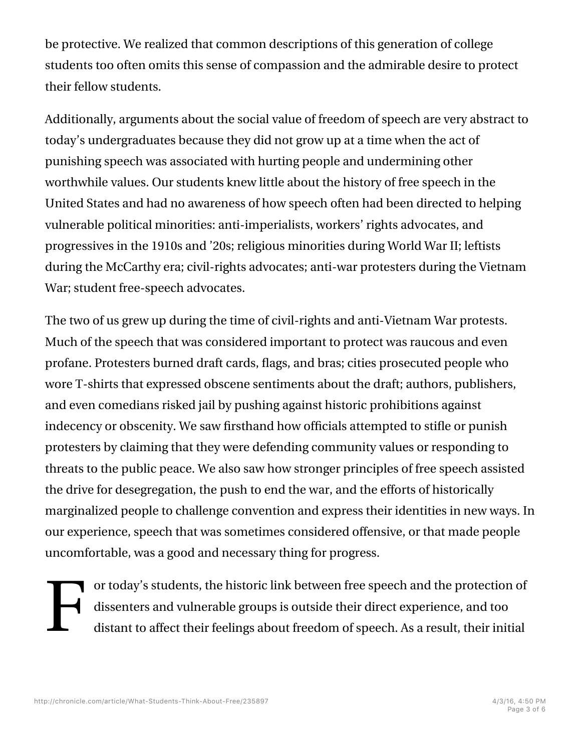be protective. We realized that common descriptions of this generation of college students too often omits this sense of compassion and the admirable desire to protect their fellow students.

Additionally, arguments about the social value of freedom of speech are very abstract to today's undergraduates because they did not grow up at a time when the act of punishing speech was associated with hurting people and undermining other worthwhile values. Our students knew little about the history of free speech in the United States and had no awareness of how speech often had been directed to helping vulnerable political minorities: anti-imperialists, workers' rights advocates, and progressives in the 1910s and '20s; religious minorities during World War II; leftists during the McCarthy era; civil-rights advocates; anti-war protesters during the Vietnam War; student free-speech advocates.

The two of us grew up during the time of civil-rights and anti-Vietnam War protests. Much of the speech that was considered important to protect was raucous and even profane. Protesters burned draft cards, flags, and bras; cities prosecuted people who wore T-shirts that expressed obscene sentiments about the draft; authors, publishers, and even comedians risked jail by pushing against historic prohibitions against indecency or obscenity. We saw firsthand how officials attempted to stifle or punish protesters by claiming that they were defending community values or responding to threats to the public peace. We also saw how stronger principles of free speech assisted the drive for desegregation, the push to end the war, and the efforts of historically marginalized people to challenge convention and express their identities in new ways. In our experience, speech that was sometimes considered offensive, or that made people uncomfortable, was a good and necessary thing for progress.

F or today's students, the historic link between free speech and the protection of dissenters and vulnerable groups is outside their direct experience, and too distant to affect their feelings about freedom of speech. As a result, their initial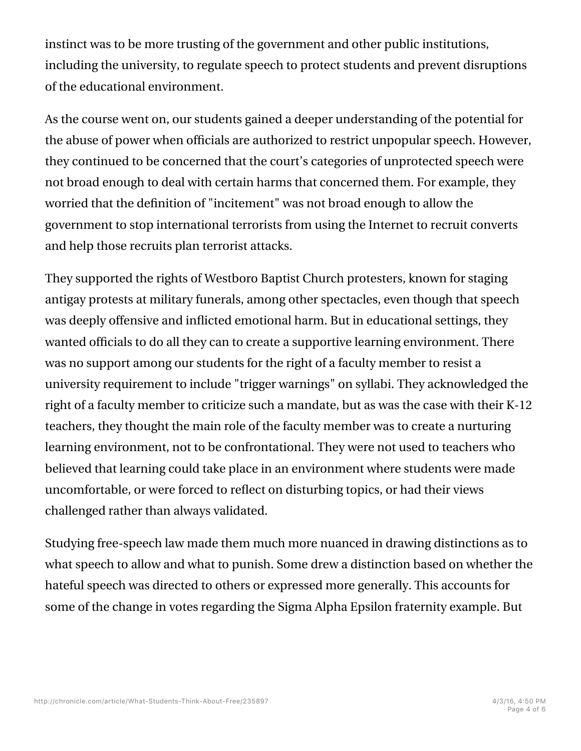instinct was to be more trusting of the government and other public institutions, including the university, to regulate speech to protect students and prevent disruptions of the educational environment.

As the course went on, our students gained a deeper understanding of the potential for the abuse of power when officials are authorized to restrict unpopular speech. However, they continued to be concerned that the court's categories of unprotected speech were not broad enough to deal with certain harms that concerned them. For example, they worried that the definition of "incitement" was not broad enough to allow the government to stop international terrorists from using the Internet to recruit converts and help those recruits plan terrorist attacks.

They supported the rights of Westboro Baptist Church protesters, known for staging antigay protests at military funerals, among other spectacles, even though that speech was deeply offensive and inflicted emotional harm. But in educational settings, they wanted officials to do all they can to create a supportive learning environment. There was no support among our students for the right of a faculty member to resist a university requirement to include "trigger warnings" on syllabi. They acknowledged the right of a faculty member to criticize such a mandate, but as was the case with their K-12 teachers, they thought the main role of the faculty member was to create a nurturing learning environment, not to be confrontational. They were not used to teachers who believed that learning could take place in an environment where students were made uncomfortable, or were forced to reflect on disturbing topics, or had their views challenged rather than always validated.

Studying free-speech law made them much more nuanced in drawing distinctions as to what speech to allow and what to punish. Some drew a distinction based on whether the hateful speech was directed to others or expressed more generally. This accounts for some of the change in votes regarding the Sigma Alpha Epsilon fraternity example. But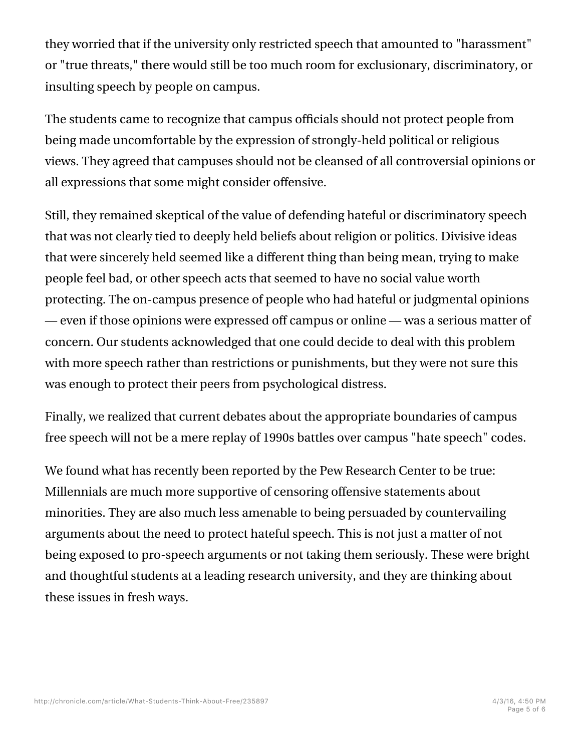they worried that if the university only restricted speech that amounted to "harassment" or "true threats," there would still be too much room for exclusionary, discriminatory, or insulting speech by people on campus.

The students came to recognize that campus officials should not protect people from being made uncomfortable by the expression of strongly-held political or religious views. They agreed that campuses should not be cleansed of all controversial opinions or all expressions that some might consider offensive.

Still, they remained skeptical of the value of defending hateful or discriminatory speech that was not clearly tied to deeply held beliefs about religion or politics. Divisive ideas that were sincerely held seemed like a different thing than being mean, trying to make people feel bad, or other speech acts that seemed to have no social value worth protecting. The on-campus presence of people who had hateful or judgmental opinions — even if those opinions were expressed off campus or online — was a serious matter of concern. Our students acknowledged that one could decide to deal with this problem with more speech rather than restrictions or punishments, but they were not sure this was enough to protect their peers from psychological distress.

Finally, we realized that current debates about the appropriate boundaries of campus free speech will not be a mere replay of 1990s battles over campus "hate speech" codes.

We found what has recently been reported by the Pew Research Center to be true: Millennials are much more supportive of censoring offensive statements about minorities. They are also much less amenable to being persuaded by countervailing arguments about the need to protect hateful speech. This is not just a matter of not being exposed to pro-speech arguments or not taking them seriously. These were bright and thoughtful students at a leading research university, and they are thinking about these issues in fresh ways.